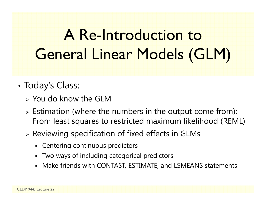# A Re-Introduction to General Linear Models (GLM)

- • Today's Class:
	- $>$  You do know the GLM
	- $\triangleright$  Estimation (where the numbers in the output come from): From least squares to restricted maximum likelihood (REML)
	- $\triangleright$  Reviewing specification of fixed effects in GLMs
		- Centering continuous predictors
		- Two ways of including categorical predictors
		- Make friends with CONTAST, ESTIMATE, and LSMEANS statements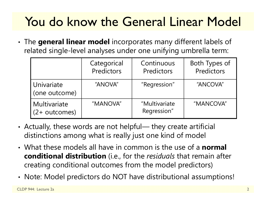# You do know the General Linear Model

• The **general linear model** incorporates many different labels of related single-level analyses under one unifying umbrella term:

|                                  | Categorical<br>Predictors | Continuous<br>Predictors     | Both Types of<br>Predictors |
|----------------------------------|---------------------------|------------------------------|-----------------------------|
| Univariate<br>(one outcome)      | "ANOVA"                   | "Regression"                 | "ANCOVA"                    |
| Multivariate<br>$(2 + outcomes)$ | "MANOVA"                  | "Multivariate<br>Regression" | "MANCOVA"                   |

- • Actually, these words are not helpful— they create artificial distinctions among what is really just one kind of model
- What these models all have in common is the use of a **normal conditional distribution** (i.e., for the *residuals* that remain after creating conditional outcomes from the model predictors)
- Note: Model predictors do NOT have distributional assumptions!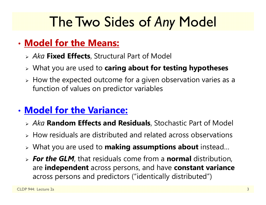# The Two Sides of *Any* Model

#### • **Model for the Means:**

- *Aka* **Fixed Effects**, Structural Part of Model
- What you are used to **caring about for testing hypotheses**
- $\triangleright$  How the expected outcome for a given observation varies as a function of values on predictor variables

### • **Model for the Variance:**

- *Aka* **Random Effects and Residuals**, Stochastic Part of Model
- $\triangleright$  How residuals are distributed and related across observations
- What you are used to **making assumptions about** instead…
- *For the GLM*, that residuals come from a **normal** distribution, are **independent** across persons, and have **constant variance**  across persons and predictors ("identically distributed")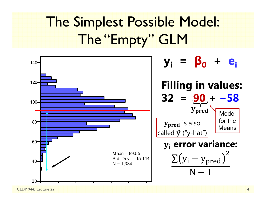# The Simplest Possible Model: The "Empty" GLM



CLDP 944: Lecture 2a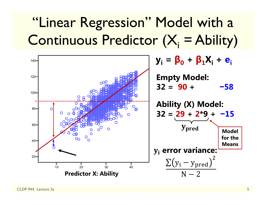# "Linear Regression" Model with a Continuous Predictor  $(X_i = \text{Ablity})$

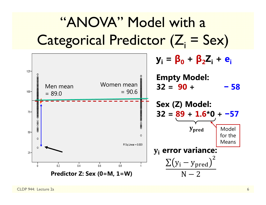# "ANOVA" Model with a  $\text{Categorical Prediction } (Z_i = \text{Sex})$

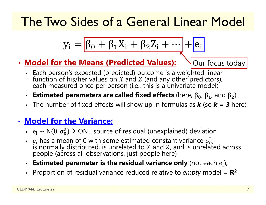## The Two Sides of a General Linear Model

$$
y_i = \boxed{\beta_0 + \beta_1 X_i + \beta_2 Z_i + \dots + e_i}
$$

•**Model for the Means (Predicted Values):**

Our focus today

- Each person's expected (predicted) outcome is a weighted linear Each person's expected (predicted) outcome is a weighted linear<br>function of his/her values on  $X$  and  $Z$  (and any other predictors),<br>each measured once per person (i.e., this is a univariate model)
- Estimated parameters are called fixed effects (here,  $β_0$ ,  $β_1$ , and  $β_2$ )
- The number of fixed effects will show up in formulas as *k* (so *k = 3* here)

#### • **Model for the Variance:**

- $e_i \sim N(0, \sigma_e^2)$  $_{\rm e}^{2})$  $\rightarrow$  ONE source of residual (unexplained) deviation
- $e_i$  has a mean of 0 with some estimated constant variance  $\sigma_e^2$ is normally distributed, is unrelated to  $X$  and  $Z$ , and is unrelated across 2<br>e i people (across all observations, just people here)
- $\cdot$  Estimated parameter is the residual variance only (not each  $\mathsf{e_i}$ ),
- $\bullet$ Proportion of residual variance reduced relative to *empty* model = **R 2**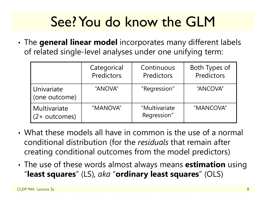# See? You do know the GLM

• The **general linear model** incorporates many different labels of related single-level analyses under one unifying term:

|                                         | Categorical<br>Predictors | Continuous<br>Predictors     | Both Types of<br>Predictors |
|-----------------------------------------|---------------------------|------------------------------|-----------------------------|
| Univariate<br>(one outcome)             | "ANOVA"                   | "Regression"                 | "ANCOVA"                    |
| <b>Multivariate</b><br>$(2 + outcomes)$ | "MANOVA"                  | "Multivariate<br>Regression" | "MANCOVA"                   |

- What these models all have in common is the use of a normal conditional distribution (for the *residuals* that remain after creating conditional outcomes from the model predictors)
- • The use of these words almost always means **estimation** using "**least squares**" (LS), *aka* "**ordinary least squares**" (OLS)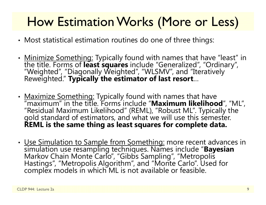## How Estimation Works (More or Less)

- •Most statistical estimation routines do one of three things:
- •• <u>Minimize Something:</u> Typically found with names that have "least" in the title. Forms of **least squares** include "Generalized", "Ordinary", "Weighted", "Diagonally Weighted", "WLSMV", and "Iteratively Reweighted." **Typi**
- • Maximize Something: Typically found with names that have "maximum" in the title. Forms include "**Maximum likelihood**", "ML", "Residual Maximum Likelihood" (REML), "Robust ML". Typically the<br>gold standard of estimators, and what we will use this semester.<br>**REML is the same thing as least squares for complete data.**
- •• <u>Use Simulation to Sample from Something:</u> more recent advances in simulation use resampling techniques. Names include "**Bayesian** Markov Chain Monte Carlo", "Gibbs Sampling", "Metropolis Hastings", "Metropolis Algorithm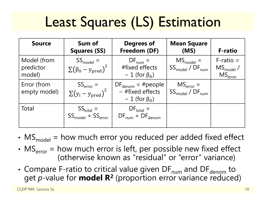# Least Squares (LS) Estimation

| <b>Source</b>                      | Sum of<br><b>Squares (SS)</b>                   | <b>Degrees of</b><br>Freedom (DF)                                                   | <b>Mean Square</b><br>(MS)                | <b>F-ratio</b>                                        |
|------------------------------------|-------------------------------------------------|-------------------------------------------------------------------------------------|-------------------------------------------|-------------------------------------------------------|
| Model (from<br>predictor<br>model) | $SS_{model}$ =<br>$\sum (\beta_0 - y_{pred})^2$ | $DF_{num} =$<br>#fixed effects<br>$-1$ (for $\beta_0$ )                             | $MS_{model}$ =<br>$SS_{model} / DF_{num}$ | $F$ -ratio =<br>$MS_{model}$ /<br>MS <sub>error</sub> |
| Error (from<br>empty model)        | $SS_{error} =$<br>$\sum(y_i - y_{pred})^2$      | $DF_{\text{denom}} = \# \text{people}$<br>- #fixed effects<br>$-1$ (for $\beta_0$ ) | $MSerror =$<br>$SS_{model} / DF_{num}$    |                                                       |
| Total                              | $SS_{total} =$ $SS_{model} + SS_{error}$        | $DF_{\text{total}} =$<br>$DF_{num} + DF_{denom}$                                    |                                           |                                                       |

- MS $_{\text{model}}$  = how much error you reduced per added fixed effect
- MS $_{\rm error}$  = how much error is left, per possible new fixed effect (otherwise known as "residual" or "error" variance)
- •• Compare F-ratio to critical value given DF $_{\rm num}$  and DF $_{\rm denom}$  to get *p*-value for **model R 2** (proportion error variance reduced)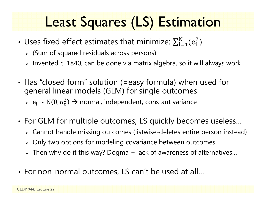# Least Squares (LS) Estimation

- Uses fixed effect estimates that minimize:  $\sum_{\rm i=1}^{\rm N}({\rm e}_{\rm i}^{\rm 2})$  $_{i=1}^N(e_i^2)$ 
	- (Sum of squared residuals across persons)
	- $\triangleright$  Invented c. 1840, can be done via matrix algebra, so it will always work
- • Has "closed form" solution (=easy formula) when used for general linear models (GLM) for single outcomes  $\triangleright$  e<sub>j</sub> ~ N(0, σ<sup>2</sup><sub>e</sub>  $_{\rm e}^{2})\rightarrow$  normal, independent, constant variance
- • For GLM for multiple outcomes, LS quickly becomes useless…
	- $\triangleright$  Cannot handle missing outcomes (listwise-deletes entire person instead)
	- $\triangleright$  Only two options for modeling covariance between outcomes
	- $\triangleright$  Then why do it this way? Dogma + lack of awareness of alternatives...
- For non-normal outcomes, LS can't be used at all…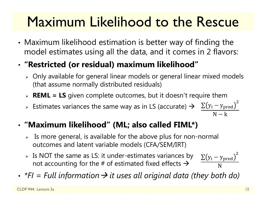# Maximum Likelihood to the Rescue

• Maximum likelihood estimation is better way of finding the model estimates using all the data, and it comes in 2 flavors:

#### •**"Restricted (or residual) maximum likelihood"**

- $\triangleright$  Only available for general linear models or general linear mixed models (that assume normally distributed residuals)
- **REML = LS** given complete outcomes, but it doesn't require them
- > Estimates variances the same way as in LS (accurate)  $\rightarrow$   $\Sigma(y_i y_{pred})$  $\overline{c}$  $N-k$

#### •**"Maximum likelihood" (ML; also called FIML\*)**

- $\triangleright$  Is more general, is available for the above plus for non-normal outcomes and latent variable models (CFA/SEM/IRT)
- $\triangleright$  Is NOT the same as LS: it under-estimates variances by not accounting for the # of estimated fixed effects  $\bm{\rightarrow}$  $\rm \Sigma(y_{i}-y_{pred}$  $\overline{c}$ N
- •*\*FI = Full information it uses all original data (they both do)*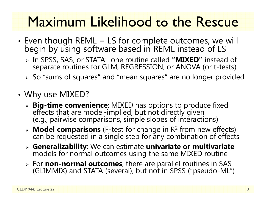# Maximum Likelihood to the Rescue

- Even though REML = LS for complete outcomes, we will begin by using software based in REML instead of LS
	- In SPSS, SAS, or STATA: one routine called **"MIXED"** instead of separate routines for GLM, REGRESSION, or ANOVA (or t-tests)
	- $\triangleright$  So "sums of squares" and "mean squares" are no longer provided
- • Why use MIXED?
	- **Big-time convenience**: MIXED has options to produce fixed effects that are model-implied, but not directly given (e.g., pairwise comparisons, simple slopes of interactions)
	- **Model comparisons** (F-test for change in R 2 from new effects) can be requested in a single step for any combination of effects
	- > Generalizability: We can estimate univariate or multivariate models for normal outcomes using the same MIXED routine
	- For **non-normal outcomes**, there are parallel routines in SAS (GLIMMIX) and STATA (several), but not in SPSS ("pseudo-ML")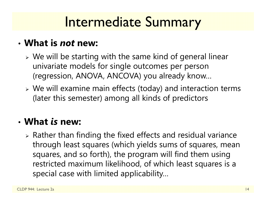# Intermediate Summary

#### • **What is** *not* **new:**

- We will be starting with the same kind of general linear univariate models for single outcomes per person (regression, ANOVA, ANCOVA) you already know…
- We will examine main effects (today) and interaction terms (later this semester) among all kinds of predictors

#### • **What** *is* **new:**

 $\triangleright$  Rather than finding the fixed effects and residual variance through least squares (which yields sums of squares, mean squares, and so forth), the program will find them using restricted maximum likelihood, of which least squares is a special case with limited applicability…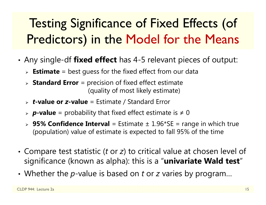# Testing Significance of Fixed Effects (of Predictors) in the Model for the Means

- • Any single-df **fixed effect** has 4-5 relevant pieces of output:
	- **Estimate** = best guess for the fixed effect from our data
	- **Standard Error** = precision of fixed effect estimate (quality of most likely estimate)
	- *t***-value or**  *z***-value** = Estimate / Standard Error
	- *p***-value** = probability that fixed effect estimate is ≠ 0
	- **95% Confidence Interval** = Estimate ± 1.96\*SE = range in which true (population) value of estimate is expected to fall 95% of the time
- •• Compare test statistic (*t* or *z*) to critical value at chosen level of significance (known as alpha): this is a "**univariate Wald test** "
- Whether the p-value is based on t or z varies by program...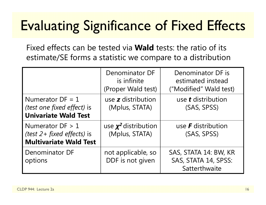# Evaluating Significance of Fixed Effects

Fixed effects can be tested via **Wald** tests: the ratio of its estimate/SE forms a statistic we compare to a distribution

|                                                                                        | Denominator DF<br>is infinite<br>(Proper Wald test) | Denominator DF is<br>estimated instead<br>("Modified" Wald test) |
|----------------------------------------------------------------------------------------|-----------------------------------------------------|------------------------------------------------------------------|
| Numerator $DF = 1$<br><i>(test one fixed effect)</i> is<br><b>Univariate Wald Test</b> | use z distribution<br>(Mplus, STATA)                | use <b>t</b> distribution<br>(SAS, SPSS)                         |
| Numerator $DF > 1$<br>(test $2+$ fixed effects) is<br><b>Multivariate Wald Test</b>    | use $\chi^2$ distribution<br>(Mplus, STATA)         | use <b>F</b> distribution<br>(SAS, SPSS)                         |
| Denominator DF<br>options                                                              | not applicable, so<br>DDF is not given              | SAS, STATA 14: BW, KR<br>SAS, STATA 14, SPSS:<br>Satterthwaite   |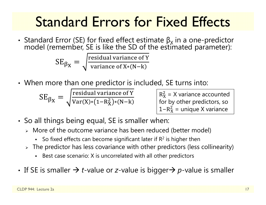# Standard Errors for Fixed Effects

• Standard Error (SE) for fixed effect estimate  $β_χ$ Standard Error (SE) for fixed effect estimate  $\beta_\chi$  in a one-predictor<br>model (remember, SE is like the SD of the estimated parameter):

> $\text{SE}_{\beta_{\text{X}}}$ ൌ residual variance of Y variance of X\*(N–k

• When more than one predictor is included, SE turns into:

$$
SE_{\beta_X} = \sqrt{\frac{\text{residual variance of Y}}{\text{Var}(X) * (1 - R_X^2) * (N - k)}}
$$

 $R_{\rm X}^2$  for by other predictors, so  $\frac{2}{x}$  = X variance accounted  $1 - R_X^2$  $X<sub>X</sub>$  = unique X variance

- So all things being equal, SE is smaller when:
	- More of the outcome variance has been reduced (better model)
		- So fixed effects can become significant later if  $R<sup>2</sup>$  is higher then
	- $\triangleright$  The predictor has less covariance with other predictors (less collinearity)
		- Best case scenario: X is uncorrelated with all other predictors
- If SE is smaller  $\rightarrow$  *t*-value or *z*-value is bigger $\rightarrow$  *p*-value is smaller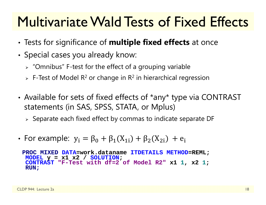# Multivariate Wald Tests of Fixed Effects

- •Tests for significance of **multiple fixed effects** at once
- • $\bm{\cdot}$  Special cases you already know:
	- $\triangleright$  "Omnibus" F-test for the effect of a grouping variable
	- $\triangleright$  F-Test of Model R<sup>2</sup> or change in R<sup>2</sup> in hierarchical regression
- •• Available for sets of fixed effects of \*any\* type via CONTRAST statements (in SAS, SPSS, STATA, or Mplus)
	- $\triangleright$  Separate each fixed effect by commas to indicate separate DF
- •• For example:  $y_i = \beta_0 + \beta_1(X_{1i}) + \beta_2(X_{2i}) + e_i$

**PROC MIXED DATA=work.dataname ITDETAILS METHOD=REML; MODEL y = x1 x2 / SOLUTION ; CONTRAST "F-Test with df=2 of Model R2" x1 1, x2 1 ; RUN;**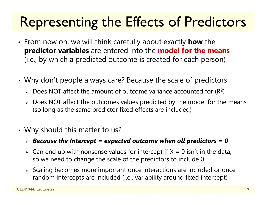# Representing the Effects of Predictors

- • From now on, we will think carefully about exactly **how** the **predictor variables** are entered into the **model for the means**  (i.e., by which a predicted outcome is created for each person)
- • Why don't people always care? Because the scale of predictors:
	- $\triangleright$  Does NOT affect the amount of outcome variance accounted for (R<sup>2</sup>)
	- $\triangleright\;$  Does NOT affect the outcomes values predicted by the model for the means (so long as the same predictor fixed effects are included)
- • Why should this matter to us?
	- *Because the Intercept = expected outcome when all predictors = 0*
	- $\triangleright$  Can end up with nonsense values for intercept if X = 0 isn't in the data, so we need to change the scale of the predictors to include 0
	- $\triangleright$  Scaling becomes more important once interactions are included or once random intercepts are included (i.e., variability around fixed intercept)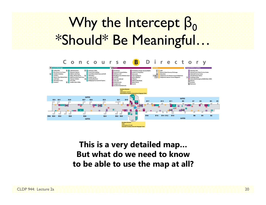# Why the Intercept  $\boldsymbol{\beta}_0$ \*Should\* Be Meaningful…



**This is a very detailed map… But what do we need to know to be able to use the map at all?**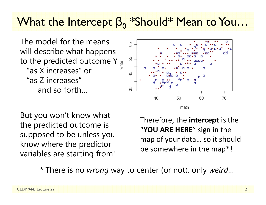## What the Intercept  $\beta_0$  \*Should\* Mean to You…

The model for the means will describe what happens to the predicted outcome Y  $\frac{9}{5}$ "as X increases" or"as Z increases" and so forth…



But you won't know what the predicted outcome is supposed to be unless you know where the predictor variables are starting from!

Therefore, the **intercept** is the "**YOU ARE HERE** " sign in the map of your data… so it should be somewhere in the map\*!

\* There is no *wrong* way to center (or not), only *weird* …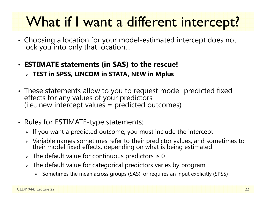# What if I want a different intercept?

- •Choosing a location for your model-estimated intercept does not lock you into only that location…
- **ESTIMATE statements (in SAS) to the rescue!**
	- **TEST in SPSS, LINCOM in STATA, NEW in Mplus**
- •These statements allow to you to request model-predicted fixed effects for any values of your predictors (i.e., new intercept values = predicted outcomes)
- •• Rules for ESTIMATE-type statements:
	- $\triangleright$  If you want a predicted outcome, you must include the intercept
	- $\triangleright$  Variable names sometimes refer to their predictor values, and sometimes to their model fixed effects, depending on what is being estimated
	- $\triangleright$  The default value for continuous predictors is 0
	- $\triangleright\;$  The default value for categorical predictors varies by program
		- Sometimes the mean across groups (SAS), or requires an input explicitly (SPSS)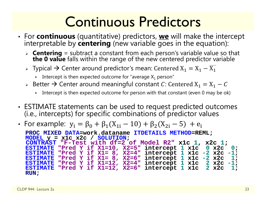# Continuous Predictors

- For **continuous** (quantitative) predictors, **we** will make the intercept interpretable by **centering** (new variable goes in the equation):
	- **Centering** = subtract a constant from each person's variable value so that **the 0 value** falls within the range of the new centered predictor variable
	- $\triangleright$  Typical  $\rightarrow$  Center around predictor's mean: Centered  $\mathrm{X}_1 = \mathrm{X}_1 \mathrm{X}_1$ 
		- ш - Intercept is then expected outcome for "average  $\mathsf{X}_1$  person"
	- $\triangleright$  Better  $\rightarrow$  Center around meaningful constant  $\mathit{C}$ : Centered  $\mathtt{X}_1 = \mathtt{X}_1 \mathit{C}$ 
		- Intercept is then expected outcome for person with that constant (even 0 may be ok)
- ESTIMATE statements can be used to request predicted outcomes (i.e., intercepts) for specific combinations of predictor values
- For example:  $y_i = \beta_0 + \beta_1(X_{1i} 10) + \beta_2(X_{2i} 5) + e_i$

**PROC MIXED DATA=work.dataname ITDETAILS METHOD=REML; MODEL y = x1c x2c / SOLUTION ; CONTRAST "F-Test with df=2 of Model R2" x1c 1, x2c 1 ; ESTIMATE "Pred Y if X1=10, X2=5" intercept 1 x1c 0 x2c 0; ESTIMATE "Pred Y if X1= 8, X2=4" intercept 1 x1c -2 x2c -1 ; ESTIMATE "Pred Y if X1= 8, X2=6" intercept 1 x1c -2 x2c 1; ESTIMATE "Pred Y if X1=12, X2=4" intercept 1 x1c 2 x2c -1 ; ESTIMATE "Pred Y if X1=12, X2=6" intercept 1 x1c 2 x2c 1; RUN;**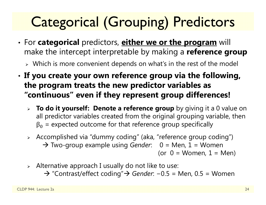# Categorical (Grouping) Predictors

- • For **categorical** predictors, **either we or the program** will make the intercept interpretable by making a **reference group**
	- $\triangleright$  Which is more convenient depends on what's in the rest of the model
- • **If you create your own reference group via the following, the program treats the new predictor variables as "continuous" even if they represent group differences!**
	- **To do it yourself: Denote a reference group** by giving it a 0 value on all predictor variables created from the original grouping variable, then  $\beta_0$  = expected outcome for that reference group specifically
	- Accomplished via "dummy coding" (aka, "reference group coding") → Two-group example using *Gender*: 0 = Men, 1 = Women (or  $0 =$  Women,  $1 =$  Men)
	- $\triangleright$  Alternative approach I usually do not like to use:
		- → "Contrast/effect coding"→ Gender: -0.5 = Men, 0.5 = Women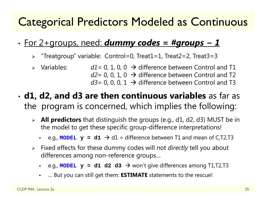### Categorical Predictors Modeled as Continuous

#### •For 2+groups, need: *dummy codes = #groups − 1*

- "Treatgroup" variable: Control=0, Treat1=1, Treat2=2, Treat3=3
- $\triangleright$  Variables:  $\triangleright$  Variables:  $d1 = 0, 1, 0, 0 \rightarrow$  difference between Control and T1 *d2*= 0, 0, 1, 0  $\,\rightarrow$  difference between Control and T2  $d$ 3= 0, 0, 0, 1  $\,\rightarrow$  difference between Control and T3
- **d1, d2, and d3 are then continuous variables** as far as the program is concerned, which implies the following:
	- **All predictors** that distinguish the groups (e.g., d1, d2, d3) MUST be in the model to get these specific group-difference interpretations!
		- e.g., MODEL  $\mathbf{y}$  = d1  $\rightarrow$  d1 = difference between T1 and mean of C,T2,T3
	- Fixed effects for these dummy codes will not *directly* tell you about differences among non-reference groups…
		- Г ■ e.g., **MODEL**  $\mathbf{y}$  = d1 d2 d3 → won't give differences among T1,T2,T3
		- … But you can still get them: **ESTIMATE** statements to the rescue!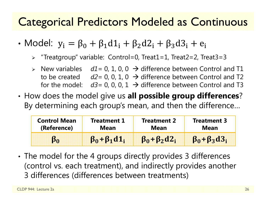### Categorical Predictors Modeled as Continuous

- Model:  $y_i = \beta_0 + \beta_1 d1_i + \beta_2 d2_i + \beta_3 d3_i + e_i$ 
	- "Treatgroup" variable: Control=0, Treat1=1, Treat2=2, Treat3=3
	- $\triangleright$  New variables  $dl = 0, 1, 0, 0 \rightarrow$  difference between Control and T1 to be created  $d2=0$ , 0, 1, 0  $\rightarrow$  difference between Control and T2 for the model:  $d3=0$ , 0, 0, 1  $\rightarrow$  difference between Control and T3
- • How does the model give us **all possible group differences**? By determining each group's mean, and then the difference…

| <b>Control Mean</b><br><b>Treatment 1</b><br>(Reference)<br>Mean |                         | <b>Treatment 2</b><br><b>Mean</b> | <b>Treatment 3</b><br><b>Mean</b> |  |
|------------------------------------------------------------------|-------------------------|-----------------------------------|-----------------------------------|--|
|                                                                  | $\beta_0 + \beta_1 d_1$ | $\beta_0 + \beta_2 d2_i$          | $\beta_0 + \beta_3 d3_i$          |  |

• The model for the 4 groups directly provides 3 differences (control vs. each treatment), and indirectly provides another 3 differences (differences between treatments)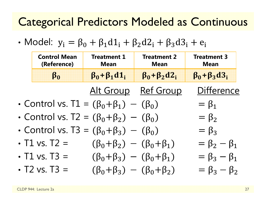### Categorical Predictors Modeled as Continuous

• Model:  $y_i = \beta_0 + \beta_1 d1_i + \beta_2 d2_i + \beta_3 d3_i + e_i$ 

| <b>Control Mean</b><br>(Reference)                   | <b>Treatment 1</b><br><b>Treatment 2</b><br><b>Mean</b><br><b>Mean</b> |                          | <b>Treatment 3</b><br><b>Mean</b> |  |
|------------------------------------------------------|------------------------------------------------------------------------|--------------------------|-----------------------------------|--|
| $\beta_0 + \beta_1 d_1$<br>$\beta_0$                 |                                                                        | $\beta_0 + \beta_2 d2_i$ | $\beta_0 + \beta_3 d3_i$          |  |
|                                                      |                                                                        | Alt Group Ref Group      | <b>Difference</b>                 |  |
| • Control vs. $T1 = (\beta_0 + \beta_1) - (\beta_0)$ |                                                                        |                          | $=\beta_1$                        |  |
| • Control vs. T2 = $(\beta_0 + \beta_2) - (\beta_0)$ |                                                                        |                          | $= \beta_2$                       |  |
| • Control vs. T3 = $(\beta_0 + \beta_3) - (\beta_0)$ |                                                                        |                          | $= \beta_3$                       |  |
| • T1 vs. $T2 =$                                      | $(\beta_0 + \beta_2) - (\beta_0 + \beta_1)$                            |                          | $= \beta_2 - \beta_1$             |  |
| • $T1$ vs. $T3 =$                                    | $(\beta_0 + \beta_3) - (\beta_0 + \beta_1)$                            |                          | $= \beta_3 - \beta_1$             |  |
| $\cdot$ T2 vs. T3 =                                  | $(\beta_0 + \beta_3) - (\beta_0 + \beta_2)$                            |                          | $= \beta_3 - \beta_2$             |  |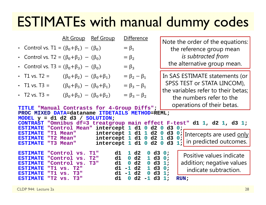## ESTIMATEs with manual dummy codes

|                                                                                                                   | Alt Group Ref Group                                        |                                                                                                                       | <b>Difference</b>                                                        |                                                                                            |                            | Note the order of the equations:                                                           |
|-------------------------------------------------------------------------------------------------------------------|------------------------------------------------------------|-----------------------------------------------------------------------------------------------------------------------|--------------------------------------------------------------------------|--------------------------------------------------------------------------------------------|----------------------------|--------------------------------------------------------------------------------------------|
| • Control vs. T1 = $(\beta_0 + \beta_1) - (\beta_0)$                                                              |                                                            |                                                                                                                       | $= \beta_1$                                                              |                                                                                            |                            | the reference group mean                                                                   |
| • Control vs. T2 = $(\beta_0 + \beta_2) - (\beta_0)$                                                              |                                                            |                                                                                                                       | $=\beta_2$                                                               |                                                                                            |                            | is subtracted from                                                                         |
| • Control vs. T3 = $(\beta_0 + \beta_3) - (\beta_0)$                                                              |                                                            |                                                                                                                       | $= \beta_3$                                                              |                                                                                            |                            | the alternative group mean.                                                                |
| • T1 vs. T2 =                                                                                                     | $(\beta_0 + \beta_2) - (\beta_0 + \beta_1)$                |                                                                                                                       | $= \beta_2 - \beta_1$                                                    |                                                                                            |                            | In SAS ESTIMATE statements (or                                                             |
| • T1 vs. T3 =                                                                                                     | $(\beta_0 + \beta_3) - (\beta_0 + \beta_1)$                |                                                                                                                       | $= \beta_3 - \beta_1$                                                    |                                                                                            |                            | SPSS TEST or STATA LINCOM),                                                                |
| • T2 vs. T3 =                                                                                                     | $(\beta_0 + \beta_3) - (\beta_0 + \beta_2)$                |                                                                                                                       | $= \beta_3 - \beta_2$                                                    |                                                                                            |                            | the variables refer to their betas;<br>the numbers refer to the                            |
| TITLE "Manual Contrasts for 4-Group Diffs";                                                                       |                                                            |                                                                                                                       |                                                                          |                                                                                            |                            | operations of their betas.                                                                 |
| PROC MIXED DATA=dataname ITDETAILS METHOD=REML;<br>MODEL $y = d1 d2 d3 / SOLUTION$ ;                              |                                                            |                                                                                                                       |                                                                          |                                                                                            |                            |                                                                                            |
| <b>ESTIMATE</b>                                                                                                   |                                                            | "Control Mean" intercept 1 d1 0 d2 0                                                                                  |                                                                          |                                                                                            | d3                         | CONTRAST "Omnibus df=3 treatgroup main effect F-test" d1 1, d2 1, d3 1;<br>0:              |
| <b>ESTIMATE</b><br><b>ESTIMATE</b><br><b>ESTIMATE</b>                                                             | "T1 Mean"<br>"T2 Mean"<br>"T3 Mean"                        | intercept $1$ d $1$ $1$ d $2$ 0 d $3$<br>intercept $1$ d $1$ 0 d $2$ $1$ d $3$<br>intercept $1$ d $1$ 0 d $2$ 0 d $3$ |                                                                          |                                                                                            |                            | $Q:$ Intercepts are used only<br>0;<br>$\left  \frac{1}{1} \right $ in predicted outcomes. |
| <b>ESTIMATE</b><br><b>ESTIMATE</b><br><b>ESTIMATE</b><br><b>ESTIMATE</b><br>"T1 vs.<br>"T1 vs.<br><b>ESTIMATE</b> | "Control vs.<br>"Control vs.<br>"Control vs.<br>T2"<br>T3" | d1<br>$T1$ "<br>T2"<br>d1<br>T3"<br>d1<br>d1<br>d1                                                                    | 1 d2<br>d2<br>$\mathbf{O}$<br>d2<br>$\mathbf 0$<br>d2<br>$-1$<br>$-1$ d2 | d3<br>0<br>d3<br>$\mathbf{1}$<br>d3<br>$\mathbf 0$<br>d3<br>$\mathbf{1}$<br>d3<br>$\bf{0}$ | 0:<br>0:<br>1:<br>0:<br>1: | Positive values indicate<br>addition; negative values<br>indicate subtraction.             |
| <b>ESTIMATE</b>                                                                                                   | "T2 vs. T3"                                                | d1                                                                                                                    | d2<br>$\mathbf{0}$                                                       | $-1$ d3                                                                                    | 1:                         | <b>RUN</b> ;                                                                               |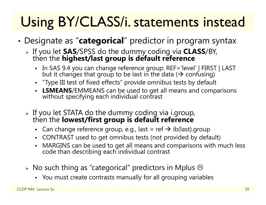# Using BY/CLASS/i. statements instead

- • Designate as "**categorical**" predictor in program syntax
	- If you let **SAS**/SPSS do the dummy coding via **CLASS**/BY, then the **highest/last group is default reference**
		- In SAS 9.4 you can change reference group: REF='level' | FIRST | LAST<br>but it changes that group to be last in the data ( $\rightarrow$  confusing)
		- "Type III test of fixed effects" provide omnibus tests by default
		- **LSMEANS**/EMMEANS can be used to get all means and comparisons without specifying each individual contrast
	- If you let STATA do the dummy coding via i.group, then the **lowest/first group is default reference** 
		- Can change reference group, e.g., last = ref  $\bm{\rightarrow}$  ib(last).group
		- $\blacksquare$ CONTRAST used to get omnibus tests (not provided by default)
		- MARGINS can be used to get all means and comparisons with much less code than describing each individual contrast
	- $\triangleright$  No such thing as "categorical" predictors in Mplus  $\odot$ 
		- You must create contrasts manually for all grouping variables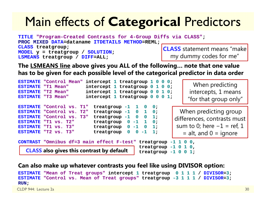## Main effects of **Categorical** Predictors

**TITLE "Program-Created Contrasts for 4-Group Diffs via CLASS"; PROC MIXED DATA=dataname ITDETAILS METHOD=REML; CLASS treatgroup; MODEL y = treatgroup / SOLUTION; LSMEANS treatgroup / DIFF=ALL; CLASS** statement means "make my dummy codes for me"

**The LSMEANS line above gives you ALL of the following… note that one value has to be given for each possible level of the categorical predictor in data order**

```
ESTIMATE "Control Mean" intercept 1 treatgroup 1 0 0 0;
ESTIMATE "T1 Mean" intercept 1 treatgroup 0 1 0 0;
ESTIMATE "T2 Mean"
                           "T2 Mean" intercept 1 treatgroup 0 0 1 0;
ESTIMATEintercept 1 treatgroup 0 0 0 1;
ESTIMATE "Control vs. T1" treatgroup -1 1 0 0; 
ESTIMATE "Control vs. T2"
                              "Control vs. T2" treatgroup -1 0 1 0; 
ESTIMATE "Control vs. T3"
                              "Control vs. T3" treatgroup -1 0 0 1;
ESTIMATE "T1 vs. T2"
                              "T1 vs. T2" treatgroup 0 -1 1 0; 
ESTIMATE "T1 vs. T3"
                              "T1 vs. T3" treatgroup 0 -1 0 1; 
ESTIMATE "T2 vs. T3"
                             treatgroup 0 0 -1 1;
CONTRAST "Omnibus df=3 main effect F-test" treatgroup -1 1 0 0, 
                                               treatgroup -1 0 1 0, 
                                               treatgroup -1 0 0 1;
                                                                    When predicting 
                                                                   intercepts, 1 means 
                                                                  "for that group only"
                                                               When predicting group 
                                                             differences, contrasts must 
                                                              sum to 0; here -1 = ref, 1
                                                                = alt, and 0 = ignore
   CLASS also gives this contrast by default
```
#### **Can also make up whatever contrasts you feel like using DIVISOR option:**

```
ESTIMATE "Mean of Treat groups" intercept 1 treatgroup 0 1 1 1 / DIVISOR=3;
 ESTIMATE "Control vs. Mean of Treat groups" treatgroup -3 1 1 1 / DIVISOR=3;
RUN;
CLDP 944: Lecture 2a\overline{a} and \overline{a} and \overline{a} and \overline{a} and \overline{a} and \overline{a} and \overline{a} and \overline{a} and \overline{a} and \overline{a} and \overline{a} and \overline{a} and \overline{a} and \overline{a} and \overline{a} and \overline{a} and \overline{a} and
```